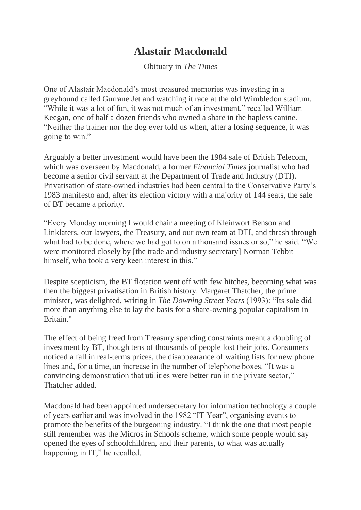## **Alastair Macdonald**

Obituary in *The Times*

One of Alastair Macdonald's most treasured memories was investing in a greyhound called Gurrane Jet and watching it race at the old Wimbledon stadium. "While it was a lot of fun, it was not much of an investment," recalled William Keegan, one of half a dozen friends who owned a share in the hapless canine. "Neither the trainer nor the dog ever told us when, after a losing sequence, it was going to win."

Arguably a better investment would have been the 1984 sale of British Telecom, which was overseen by Macdonald, a former *Financial Times* journalist who had become a senior civil servant at the Department of Trade and Industry (DTI). Privatisation of state-owned industries had been central to the Conservative Party's 1983 manifesto and, after its election victory with a majority of 144 seats, the sale of BT became a priority.

"Every Monday morning I would chair a meeting of Kleinwort Benson and Linklaters, our lawyers, the Treasury, and our own team at DTI, and thrash through what had to be done, where we had got to on a thousand issues or so," he said. "We were monitored closely by [the trade and industry secretary] Norman Tebbit himself, who took a very keen interest in this."

Despite scepticism, the BT flotation went off with few hitches, becoming what was then the biggest privatisation in British history. Margaret Thatcher, the prime minister, was delighted, writing in *The Downing Street Years* (1993): "Its sale did more than anything else to lay the basis for a share-owning popular capitalism in Britain."

The effect of being freed from Treasury spending constraints meant a doubling of investment by BT, though tens of thousands of people lost their jobs. Consumers noticed a fall in real-terms prices, the disappearance of waiting lists for new phone lines and, for a time, an increase in the number of telephone boxes. "It was a convincing demonstration that utilities were better run in the private sector," Thatcher added.

Macdonald had been appointed undersecretary for information technology a couple of years earlier and was involved in the 1982 "IT Year", organising events to promote the benefits of the burgeoning industry. "I think the one that most people still remember was the Micros in Schools scheme, which some people would say opened the eyes of schoolchildren, and their parents, to what was actually happening in IT," he recalled.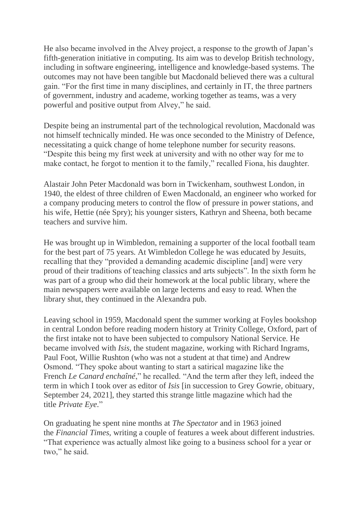He also became involved in the Alvey project, a response to the growth of Japan's fifth-generation initiative in computing. Its aim was to develop British technology, including in software engineering, intelligence and knowledge-based systems. The outcomes may not have been tangible but Macdonald believed there was a cultural gain. "For the first time in many disciplines, and certainly in IT, the three partners of government, industry and academe, working together as teams, was a very powerful and positive output from Alvey," he said.

Despite being an instrumental part of the technological revolution, Macdonald was not himself technically minded. He was once seconded to the Ministry of Defence, necessitating a quick change of home telephone number for security reasons. "Despite this being my first week at university and with no other way for me to make contact, he forgot to mention it to the family," recalled Fiona, his daughter.

Alastair John Peter Macdonald was born in Twickenham, southwest London, in 1940, the eldest of three children of Ewen Macdonald, an engineer who worked for a company producing meters to control the flow of pressure in power stations, and his wife, Hettie (née Spry); his younger sisters, Kathryn and Sheena, both became teachers and survive him.

He was brought up in Wimbledon, remaining a supporter of the local football team for the best part of 75 years. At Wimbledon College he was educated by Jesuits, recalling that they "provided a demanding academic discipline [and] were very proud of their traditions of teaching classics and arts subjects". In the sixth form he was part of a group who did their homework at the local public library, where the main newspapers were available on large lecterns and easy to read. When the library shut, they continued in the Alexandra pub.

Leaving school in 1959, Macdonald spent the summer working at Foyles bookshop in central London before reading modern history at Trinity College, Oxford, part of the first intake not to have been subjected to compulsory National Service. He became involved with *Isis*, the student magazine, working with Richard Ingrams, Paul Foot, Willie Rushton (who was not a student at that time) and Andrew Osmond. "They spoke about wanting to start a satirical magazine like the French *Le Canard enchaîné*," he recalled. "And the term after they left, indeed the term in which I took over as editor of *Isis* [in succession to Grey Gowrie, obituary, September 24, 2021], they started this strange little magazine which had the title *Private Eye*."

On graduating he spent nine months at *The Spectator* and in 1963 joined the *Financial Times*, writing a couple of features a week about different industries. "That experience was actually almost like going to a business school for a year or two," he said.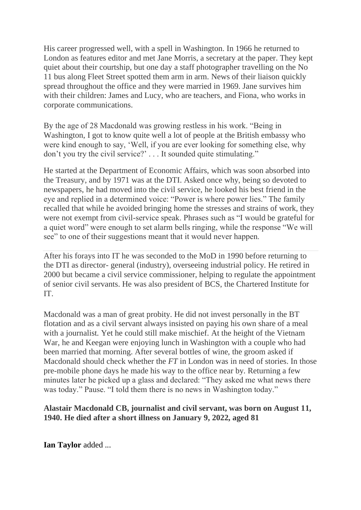His career progressed well, with a spell in Washington. In 1966 he returned to London as features editor and met Jane Morris, a secretary at the paper. They kept quiet about their courtship, but one day a staff photographer travelling on the No 11 bus along Fleet Street spotted them arm in arm. News of their liaison quickly spread throughout the office and they were married in 1969. Jane survives him with their children: James and Lucy, who are teachers, and Fiona, who works in corporate communications.

By the age of 28 Macdonald was growing restless in his work. "Being in Washington, I got to know quite well a lot of people at the British embassy who were kind enough to say, 'Well, if you are ever looking for something else, why don't you try the civil service?' . . . It sounded quite stimulating."

He started at the Department of Economic Affairs, which was soon absorbed into the Treasury, and by 1971 was at the DTI. Asked once why, being so devoted to newspapers, he had moved into the civil service, he looked his best friend in the eye and replied in a determined voice: "Power is where power lies." The family recalled that while he avoided bringing home the stresses and strains of work, they were not exempt from civil-service speak. Phrases such as "I would be grateful for a quiet word" were enough to set alarm bells ringing, while the response "We will see" to one of their suggestions meant that it would never happen.

After his forays into IT he was seconded to the MoD in 1990 before returning to the DTI as director- general (industry), overseeing industrial policy. He retired in 2000 but became a civil service commissioner, helping to regulate the appointment of senior civil servants. He was also president of BCS, the Chartered Institute for IT.

Macdonald was a man of great probity. He did not invest personally in the BT flotation and as a civil servant always insisted on paying his own share of a meal with a journalist. Yet he could still make mischief. At the height of the Vietnam War, he and Keegan were enjoying lunch in Washington with a couple who had been married that morning. After several bottles of wine, the groom asked if Macdonald should check whether the *FT* in London was in need of stories. In those pre-mobile phone days he made his way to the office near by. Returning a few minutes later he picked up a glass and declared: "They asked me what news there was today." Pause. "I told them there is no news in Washington today."

## **Alastair Macdonald CB, journalist and civil servant, was born on August 11, 1940. He died after a short illness on January 9, 2022, aged 81**

**Ian Taylor** added ...